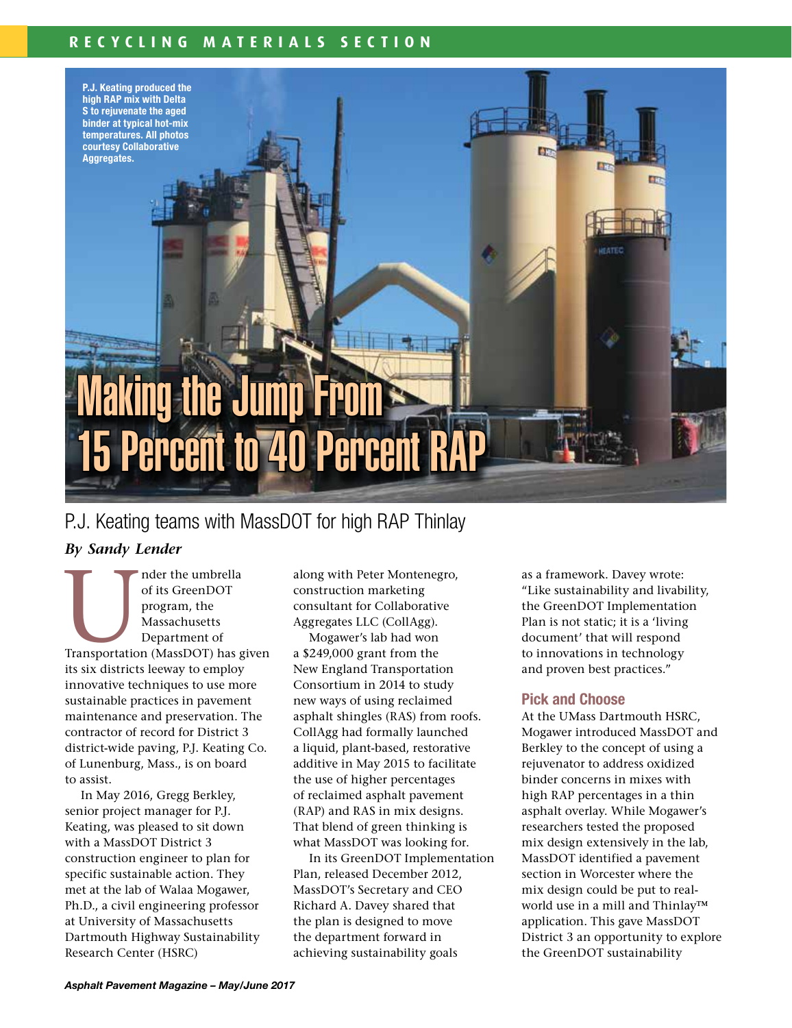### **RECYCLING MATERIALS SECTION**

P.J. Keating produced the high RAP mix with Delta S to rejuvenate the aged binder at typical hot-mix temperatures. All photos courtesy Collaborative Aggregates.

# **Making the Jump From** 15 Percent to 40 Percent R

## P.J. Keating teams with MassDOT for high RAP Thinlay

#### *By Sandy Lender*

Massachusetts<br>
Transportation (MassDOT) has given<br>
Massachusetts<br>
Transportation (MassDOT) has given of its GreenDOT program, the Massachusetts Department of its six districts leeway to employ innovative techniques to use more sustainable practices in pavement maintenance and preservation. The contractor of record for District 3 district-wide paving, P.J. Keating Co. of Lunenburg, Mass., is on board to assist.

In May 2016, Gregg Berkley, senior project manager for P.J. Keating, was pleased to sit down with a MassDOT District 3 construction engineer to plan for specific sustainable action. They met at the lab of Walaa Mogawer, Ph.D., a civil engineering professor at University of Massachusetts Dartmouth Highway Sustainability Research Center (HSRC)

along with Peter Montenegro, construction marketing consultant for Collaborative Aggregates LLC (CollAgg).

Mogawer's lab had won a \$249,000 grant from the New England Transportation Consortium in 2014 to study new ways of using reclaimed asphalt shingles (RAS) from roofs. CollAgg had formally launched a liquid, plant-based, restorative additive in May 2015 to facilitate the use of higher percentages of reclaimed asphalt pavement (RAP) and RAS in mix designs. That blend of green thinking is what MassDOT was looking for.

In its GreenDOT Implementation Plan, released December 2012, MassDOT's Secretary and CEO Richard A. Davey shared that the plan is designed to move the department forward in achieving sustainability goals

as a framework. Davey wrote: "Like sustainability and livability, the GreenDOT Implementation Plan is not static; it is a 'living document' that will respond to innovations in technology and proven best practices."

#### Pick and Choose

At the UMass Dartmouth HSRC, Mogawer introduced MassDOT and Berkley to the concept of using a rejuvenator to address oxidized binder concerns in mixes with high RAP percentages in a thin asphalt overlay. While Mogawer's researchers tested the proposed mix design extensively in the lab, MassDOT identified a pavement section in Worcester where the mix design could be put to realworld use in a mill and Thinlay™ application. This gave MassDOT District 3 an opportunity to explore the GreenDOT sustainability